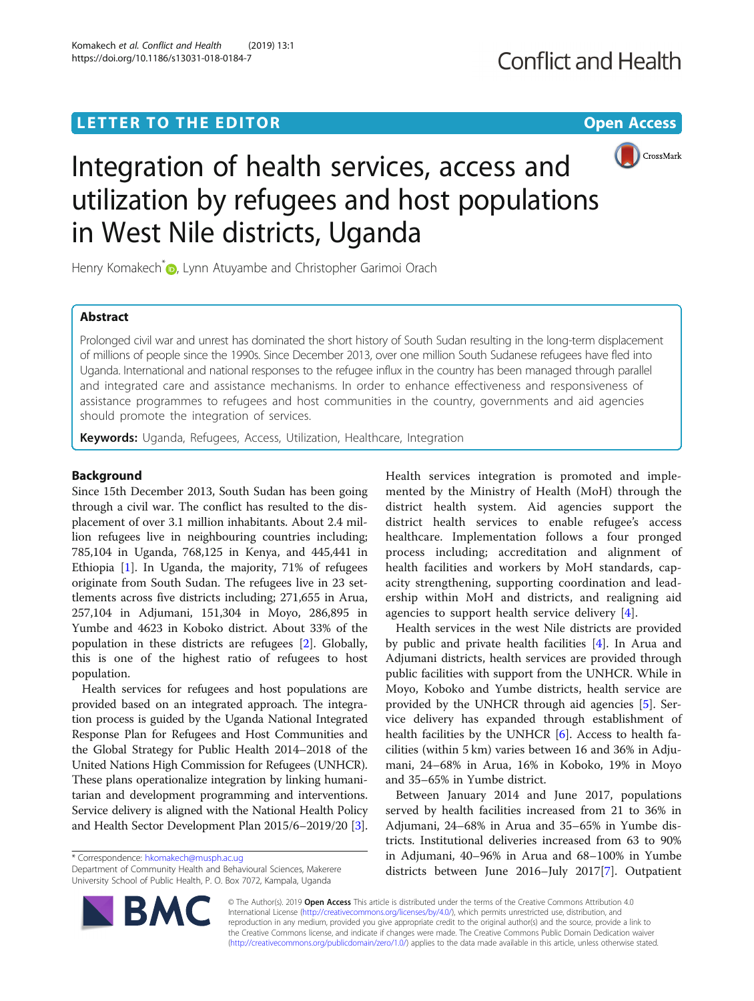## **LETTER TO THE EDITOR CONSIDERING ACCESS**



# Integration of health services, access and utilization by refugees and host populations in West Nile districts, Uganda

Henry Komakech<sup>\*</sup><sup>1</sup>[,](http://orcid.org/0000-0001-7137-5940) Lynn Atuyambe and Christopher Garimoi Orach

## Abstract

Prolonged civil war and unrest has dominated the short history of South Sudan resulting in the long-term displacement of millions of people since the 1990s. Since December 2013, over one million South Sudanese refugees have fled into Uganda. International and national responses to the refugee influx in the country has been managed through parallel and integrated care and assistance mechanisms. In order to enhance effectiveness and responsiveness of assistance programmes to refugees and host communities in the country, governments and aid agencies should promote the integration of services.

Keywords: Uganda, Refugees, Access, Utilization, Healthcare, Integration

## Background

Since 15th December 2013, South Sudan has been going through a civil war. The conflict has resulted to the displacement of over 3.1 million inhabitants. About 2.4 million refugees live in neighbouring countries including; 785,104 in Uganda, 768,125 in Kenya, and 445,441 in Ethiopia [\[1](#page-1-0)]. In Uganda, the majority, 71% of refugees originate from South Sudan. The refugees live in 23 settlements across five districts including; 271,655 in Arua, 257,104 in Adjumani, 151,304 in Moyo, 286,895 in Yumbe and 4623 in Koboko district. About 33% of the population in these districts are refugees [[2](#page-1-0)]. Globally, this is one of the highest ratio of refugees to host population.

Health services for refugees and host populations are provided based on an integrated approach. The integration process is guided by the Uganda National Integrated Response Plan for Refugees and Host Communities and the Global Strategy for Public Health 2014–2018 of the United Nations High Commission for Refugees (UNHCR). These plans operationalize integration by linking humanitarian and development programming and interventions. Service delivery is aligned with the National Health Policy and Health Sector Development Plan 2015/6–2019/20 [[3](#page-1-0)].

\* Correspondence: [hkomakech@musph.ac.ug](mailto:hkomakech@musph.ac.ug)

Department of Community Health and Behavioural Sciences, Makerere University School of Public Health, P. O. Box 7072, Kampala, Uganda



Health services in the west Nile districts are provided by public and private health facilities [[4\]](#page-1-0). In Arua and Adjumani districts, health services are provided through public facilities with support from the UNHCR. While in Moyo, Koboko and Yumbe districts, health service are provided by the UNHCR through aid agencies [[5\]](#page-1-0). Service delivery has expanded through establishment of health facilities by the UNHCR [[6\]](#page-1-0). Access to health facilities (within 5 km) varies between 16 and 36% in Adjumani, 24–68% in Arua, 16% in Koboko, 19% in Moyo and 35–65% in Yumbe district.

Between January 2014 and June 2017, populations served by health facilities increased from 21 to 36% in Adjumani, 24–68% in Arua and 35–65% in Yumbe districts. Institutional deliveries increased from 63 to 90% in Adjumani, 40–96% in Arua and 68–100% in Yumbe districts between June 2016–July 2017[[7\]](#page-1-0). Outpatient



© The Author(s). 2019 Open Access This article is distributed under the terms of the Creative Commons Attribution 4.0 International License [\(http://creativecommons.org/licenses/by/4.0/](http://creativecommons.org/licenses/by/4.0/)), which permits unrestricted use, distribution, and reproduction in any medium, provided you give appropriate credit to the original author(s) and the source, provide a link to the Creative Commons license, and indicate if changes were made. The Creative Commons Public Domain Dedication waiver [\(http://creativecommons.org/publicdomain/zero/1.0/](http://creativecommons.org/publicdomain/zero/1.0/)) applies to the data made available in this article, unless otherwise stated.